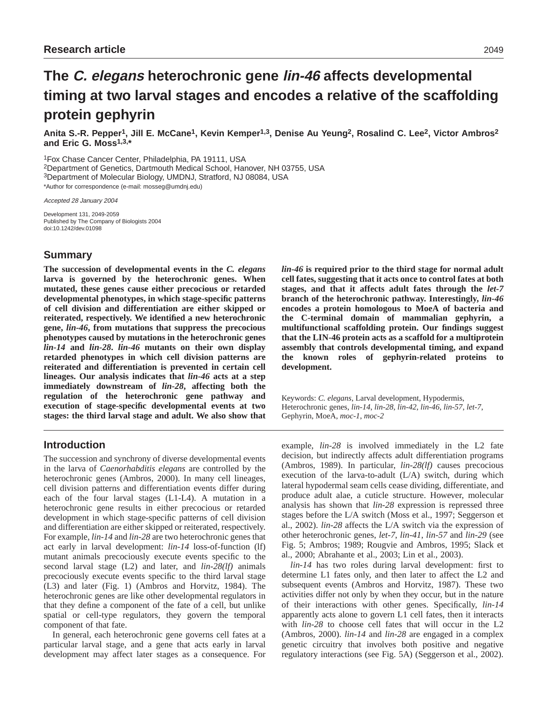# **The C. elegans heterochronic gene lin-46 affects developmental timing at two larval stages and encodes a relative of the scaffolding protein gephyrin**

**Anita S.-R. Pepper1, Jill E. McCane1, Kevin Kemper1,3, Denise Au Yeung2, Rosalind C. Lee2, Victor Ambros2 and Eric G. Moss1,3,\***

1Fox Chase Cancer Center, Philadelphia, PA 19111, USA

2Department of Genetics, Dartmouth Medical School, Hanover, NH 03755, USA

3Department of Molecular Biology, UMDNJ, Stratford, NJ 08084, USA

\*Author for correspondence (e-mail: mosseg@umdnj.edu)

Accepted 28 January 2004

Development 131, 2049-2059 Published by The Company of Biologists 2004 doi:10.1242/dev.01098

# **Summary**

**The succession of developmental events in the** *C. elegans* **larva is governed by the heterochronic genes. When mutated, these genes cause either precocious or retarded developmental phenotypes, in which stage-specific patterns of cell division and differentiation are either skipped or reiterated, respectively. We identified a new heterochronic gene,** *lin-46***, from mutations that suppress the precocious phenotypes caused by mutations in the heterochronic genes** *lin-14* **and** *lin-28***.** *lin-46* **mutants on their own display retarded phenotypes in which cell division patterns are reiterated and differentiation is prevented in certain cell lineages. Our analysis indicates that** *lin-46* **acts at a step immediately downstream of** *lin-28***, affecting both the regulation of the heterochronic gene pathway and execution of stage-specific developmental events at two stages: the third larval stage and adult. We also show that**

# **Introduction**

The succession and synchrony of diverse developmental events in the larva of *Caenorhabditis elegans* are controlled by the heterochronic genes (Ambros, 2000). In many cell lineages, cell division patterns and differentiation events differ during each of the four larval stages (L1-L4). A mutation in a heterochronic gene results in either precocious or retarded development in which stage-specific patterns of cell division and differentiation are either skipped or reiterated, respectively. For example, *lin-14* and *lin-28* are two heterochronic genes that act early in larval development: *lin-14* loss-of-function (lf) mutant animals precociously execute events specific to the second larval stage (L2) and later, and *lin-28(lf)* animals precociously execute events specific to the third larval stage (L3) and later (Fig. 1) (Ambros and Horvitz, 1984). The heterochronic genes are like other developmental regulators in that they define a component of the fate of a cell, but unlike spatial or cell-type regulators, they govern the temporal component of that fate.

In general, each heterochronic gene governs cell fates at a particular larval stage, and a gene that acts early in larval development may affect later stages as a consequence. For *lin-46* **is required prior to the third stage for normal adult cell fates, suggesting that it acts once to control fates at both stages, and that it affects adult fates through the** *let-7* **branch of the heterochronic pathway. Interestingly,** *lin-46* **encodes a protein homologous to MoeA of bacteria and the C-terminal domain of mammalian gephyrin, a multifunctional scaffolding protein. Our findings suggest that the LIN-46 protein acts as a scaffold for a multiprotein assembly that controls developmental timing, and expand the known roles of gephyrin-related proteins to development.**

Keywords: *C. elegans*, Larval development, Hypodermis, Heterochronic genes, *lin-14*, *lin-28*, *lin-42*, *lin-46*, *lin-57*, *let-7*, Gephyrin, MoeA, *moc-1*, *moc-2*

example, *lin-28* is involved immediately in the L2 fate decision, but indirectly affects adult differentiation programs (Ambros, 1989). In particular, *lin-28(lf)* causes precocious execution of the larva-to-adult (L/A) switch, during which lateral hypodermal seam cells cease dividing, differentiate, and produce adult alae, a cuticle structure. However, molecular analysis has shown that *lin-28* expression is repressed three stages before the L/A switch (Moss et al., 1997; Seggerson et al., 2002). *lin-28* affects the L/A switch via the expression of other heterochronic genes, *let-7*, *lin-41*, *lin-57* and *lin-29* (see Fig. 5; Ambros; 1989; Rougvie and Ambros, 1995; Slack et al., 2000; Abrahante et al., 2003; Lin et al., 2003).

*lin-14* has two roles during larval development: first to determine L1 fates only, and then later to affect the L2 and subsequent events (Ambros and Horvitz, 1987). These two activities differ not only by when they occur, but in the nature of their interactions with other genes. Specifically, *lin-14* apparently acts alone to govern L1 cell fates, then it interacts with *lin-28* to choose cell fates that will occur in the L2 (Ambros, 2000). *lin-14* and *lin-28* are engaged in a complex genetic circuitry that involves both positive and negative regulatory interactions (see Fig. 5A) (Seggerson et al., 2002).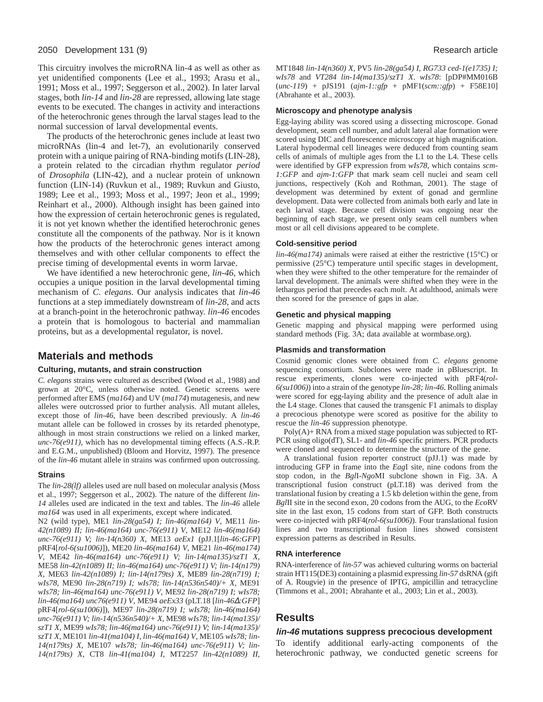This circuitry involves the microRNA lin-4 as well as other as yet unidentified components (Lee et al., 1993; Arasu et al., 1991; Moss et al., 1997; Seggerson et al., 2002). In later larval stages, both *lin-14* and *lin-28* are repressed, allowing late stage events to be executed. The changes in activity and interactions of the heterochronic genes through the larval stages lead to the normal succession of larval developmental events.

The products of the heterochronic genes include at least two microRNAs (lin-4 and let-7), an evolutionarily conserved protein with a unique pairing of RNA-binding motifs (LIN-28), a protein related to the circadian rhythm regulator *period* of *Drosophila* (LIN-42), and a nuclear protein of unknown function (LIN-14) (Ruvkun et al., 1989; Ruvkun and Giusto, 1989; Lee et al., 1993; Moss et al., 1997; Jeon et al., 1999; Reinhart et al., 2000). Although insight has been gained into how the expression of certain heterochronic genes is regulated, it is not yet known whether the identified heterochronic genes constitute all the components of the pathway. Nor is it known how the products of the heterochronic genes interact among themselves and with other cellular components to effect the precise timing of developmental events in worm larvae.

We have identified a new heterochronic gene, *lin-46*, which occupies a unique position in the larval developmental timing mechanism of *C. elegans*. Our analysis indicates that *lin-46* functions at a step immediately downstream of *lin-28*, and acts at a branch-point in the heterochronic pathway. *lin-46* encodes a protein that is homologous to bacterial and mammalian proteins, but as a developmental regulator, is novel.

# **Materials and methods**

#### **Culturing, mutants, and strain construction**

*C. elegans* strains were cultured as described (Wood et al., 1988) and grown at 20°C, unless otherwise noted. Genetic screens were performed after EMS (*ma164*) and UV (*ma174*) mutagenesis, and new alleles were outcrossed prior to further analysis. All mutant alleles, except those of *lin-46*, have been described previously. A *lin-46* mutant allele can be followed in crosses by its retarded phenotype, although in most strain constructions we relied on a linked marker, *unc-76(e911)*, which has no developmental timing effects (A.S.-R.P. and E.G.M., unpublished) (Bloom and Horvitz, 1997). The presence of the *lin-46* mutant allele in strains was confirmed upon outcrossing.

#### **Strains**

The *lin-28(lf)* alleles used are null based on molecular analysis (Moss et al., 1997; Seggerson et al., 2002). The nature of the different *lin-14* alleles used are indicated in the text and tables. The *lin-46* allele *ma164* was used in all experiments, except where indicated.

N2 (wild type), ME1 *lin-28(ga54) I; lin-46(ma164) V*, ME11 *lin-42(n1089) II; lin-46(ma164) unc-76(e911) V*, ME12 *lin-46(ma164) unc-76(e911) V; lin-14(n360) X*, ME13 *aeEx1* (pJJ.1[*lin-46:GFP*] pRF4[*rol-6(su1006)*]), ME20 *lin-46(ma164) V*, ME21 *lin-46(ma174) V*, ME42 *lin-46(ma164) unc-76(e911) V; lin-14(ma135)/szT1 X*, ME58 *lin-42(n1089) II; lin-46(ma164) unc-76(e911) V; lin-14(n179) X*, ME63 *lin-42(n1089) I; lin-14(n179ts) X*, ME89 *lin-28(n719) I; wIs78*, ME90 *lin-28(n719) I; wIs78; lin-14(n536n540)/+ X*, ME91 *wIs78; lin-46(ma164) unc-76(e911) V*, ME92 *lin-28(n719) I; wIs78; lin-46(ma164) unc76(e911) V*, ME94 *aeEx33* (pLT.18 [*lin-46*∆*:GFP*] pRF4[*rol-6(su1006)*]), ME97 *lin-28(n719) I; wIs78; lin-46(ma164) unc-76(e911) V; lin-14(n536n540)/+ X*, ME98 *wIs78; lin-14(ma135)/ szT1 X*, ME99 *wIs78; lin-46(ma164) unc-76(e911) V; lin-14(ma135)/ szT1 X*, ME101 *lin-41(ma104) I, lin-46(ma164) V*, ME105 *wIs78; lin-14(n179ts) X*, ME107 *wIs78; lin-46(ma164) unc-76(e911) V; lin-14(n179ts) X*, CT8 *lin-41(ma104) I*, MT2257 *lin-42(n1089) II*, MT1848 *lin-14(n360) X*, PV5 *lin-28(ga54) I, RG733 ced-1(e1735) I; wIs78* and *VT284 lin-14(ma135)/szT1 X*. *wIs78*: [pDP#MM016B (*unc-119*) + pJS191 (*ajm-1::gfp* + pMF1(*scm::gfp*) + F58E10] (Abrahante et al., 2003).

#### **Microscopy and phenotype analysis**

Egg-laying ability was scored using a dissecting microscope. Gonad development, seam cell number, and adult lateral alae formation were scored using DIC and fluorescence microscopy at high magnification. Lateral hypodermal cell lineages were deduced from counting seam cells of animals of multiple ages from the L1 to the L4. These cells were identified by GFP expression from *wIs78*, which contains *scm-1:GFP* and *ajm-1:GFP* that mark seam cell nuclei and seam cell junctions, respectively (Koh and Rothman, 2001). The stage of development was determined by extent of gonad and germline development. Data were collected from animals both early and late in each larval stage. Because cell division was ongoing near the beginning of each stage, we present only seam cell numbers when most or all cell divisions appeared to be complete.

#### **Cold-sensitive period**

*lin-46(ma174)* animals were raised at either the restrictive (15°C) or permissive (25°C) temperature until specific stages in development, when they were shifted to the other temperature for the remainder of larval development. The animals were shifted when they were in the lethargus period that precedes each molt. At adulthood, animals were then scored for the presence of gaps in alae.

#### **Genetic and physical mapping**

Genetic mapping and physical mapping were performed using standard methods (Fig. 3A; data available at wormbase.org).

#### **Plasmids and transformation**

Cosmid genomic clones were obtained from *C. elegans* genome sequencing consortium. Subclones were made in pBluescript. In rescue experiments, clones were co-injected with pRF4(*rol-6(su1006)*) into a strain of the genotype *lin-28; lin-46*. Rolling animals were scored for egg-laying ability and the presence of adult alae in the L4 stage. Clones that caused the transgenic F1 animals to display a precocious phenotype were scored as positive for the ability to rescue the *lin-46* suppression phenotype.

 $Poly(A)$ + RNA from a mixed stage population was subjected to RT-PCR using oligo(dT), SL1- and *lin-46* specific primers. PCR products were cloned and sequenced to determine the structure of the gene.

A translational fusion reporter construct (pJJ.1) was made by introducing GFP in frame into the *Eag*I site, nine codons from the stop codon, in the *Bgl*I-*Ngo*MI subclone shown in Fig. 3A. A transcriptional fusion construct (pLT.18) was derived from the translational fusion by creating a 1.5 kb deletion within the gene, from *Bgl*II site in the second exon, 20 codons from the AUG, to the *Eco*RV site in the last exon, 15 codons from start of GFP. Both constructs were co-injected with pRF4(*rol-6(su1006)*). Four translational fusion lines and two transcriptional fusion lines showed consistent expression patterns as described in Results.

#### **RNA interference**

RNA-interference of *lin-57* was achieved culturing worms on bacterial strain HT115(DE3) containing a plasmid expressing *lin-57* dsRNA (gift of A. Rougvie) in the presence of IPTG, ampicillin and tetracycline (Timmons et al., 2001; Abrahante et al., 2003; Lin et al., 2003).

#### **Results**

#### **lin-46 mutations suppress precocious development**

To identify additional early-acting components of the heterochronic pathway, we conducted genetic screens for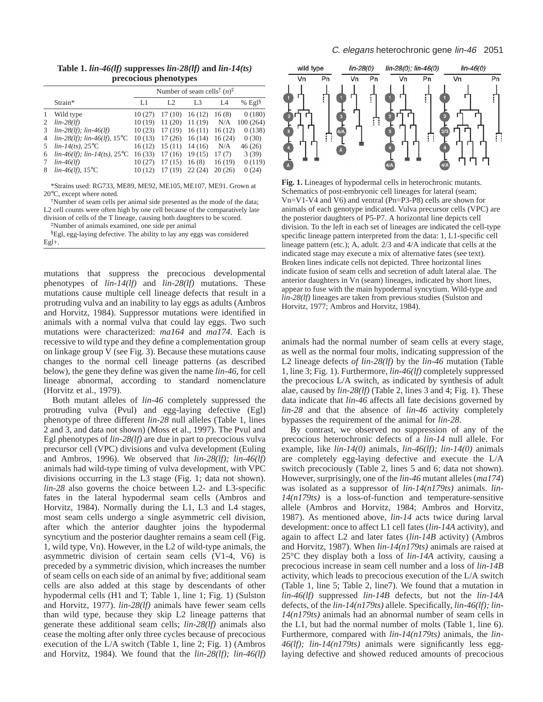**Table 1.** *lin-46(lf)* **suppresses** *lin-28(lf)* **and** *lin-14(ts)* **precocious phenotypes** 

|                |                                      | Number of seam cells <sup>†</sup> $(n)$ <sup><math>\ddagger</math></sup> |                |                |        |          |
|----------------|--------------------------------------|--------------------------------------------------------------------------|----------------|----------------|--------|----------|
|                | Strain*                              | L1                                                                       | L <sub>2</sub> | L <sub>3</sub> | I A    | % $Egl§$ |
| 1              | Wild type                            | 10(27)                                                                   | 17(10)         | 16(12)         | 16(8)  | 0(180)   |
| $\overline{2}$ | $lin-28(lf)$                         | 10(19)                                                                   | 11(20)         | 11(19)         | N/A    | 100(264) |
| 3              | $lin-28(lf); lin-46(lf)$             | 10(23)                                                                   | 17(19)         | 16(11)         | 16(12) | 0(138)   |
|                | 4 $lin-28(lf)$ ; $lin-46(lf)$ , 15°C | 10(13)                                                                   | 17(26)         | 16(14)         | 16(24) | 0(30)    |
| 5              | $lin-14(ts)$ , 25 <sup>o</sup> C     | 16(12)                                                                   | 15(11)         | 14(16)         | N/A    | 46(26)   |
| 6              | $lin-46(lf); lin-14(ts), 25°C$       | 16(33)                                                                   | 17(16)         | 19(15)         | 17(7)  | 3(39)    |
| 7              | $lin-46(lf)$                         | 10(27)                                                                   | 17(15)         | 16(8)          | 16(19) | 0(119)   |
| 8              | $lin-46(lf)$ , 15°C                  | 10(12)                                                                   | 17(19)         | 22(24)         | 20(26) | 0(24)    |

\*Strains used: RG733, ME89, ME92, ME105, ME107, ME91. Grown at 20°C, except where noted.

†Number of seam cells per animal side presented as the mode of the data; L2 cell counts were often high by one cell because of the comparatively late division of cells of the T lineage, causing both daughters to be scored.

‡Number of animals examined, one side per animal

§Egl, egg-laying defective. The ability to lay any eggs was considered Egl+.

mutations that suppress the precocious developmental phenotypes of *lin-14(lf)* and *lin-28(lf)* mutations. These mutations cause multiple cell lineage defects that result in a protruding vulva and an inability to lay eggs as adults (Ambros and Horvitz, 1984). Suppressor mutations were identified in animals with a normal vulva that could lay eggs. Two such mutations were characterized: *ma164* and *ma174*. Each is recessive to wild type and they define a complementation group on linkage group V (see Fig. 3). Because these mutations cause changes to the normal cell lineage patterns (as described below), the gene they define was given the name *lin-46*, for cell lineage abnormal, according to standard nomenclature (Horvitz et al., 1979).

Both mutant alleles of *lin-46* completely suppressed the protruding vulva (Pvul) and egg-laying defective (Egl) phenotype of three different *lin-28* null alleles (Table 1, lines 2 and 3, and data not shown) (Moss et al., 1997). The Pvul and Egl phenotypes of *lin-28(lf)* are due in part to precocious vulva precursor cell (VPC) divisions and vulva development (Euling and Ambros, 1996). We observed that *lin-28(lf); lin-46(lf)* animals had wild-type timing of vulva development, with VPC divisions occurring in the L3 stage (Fig. 1; data not shown). *lin-28* also governs the choice between L2- and L3-specific fates in the lateral hypodermal seam cells (Ambros and Horvitz, 1984). Normally during the L1, L3 and L4 stages, most seam cells undergo a single asymmetric cell division, after which the anterior daughter joins the hypodermal syncytium and the posterior daughter remains a seam cell (Fig. 1, wild type, Vn). However, in the L2 of wild-type animals, the asymmetric division of certain seam cells (V1-4, V6) is preceded by a symmetric division, which increases the number of seam cells on each side of an animal by five; additional seam cells are also added at this stage by descendants of other hypodermal cells (H1 and T; Table 1, line 1; Fig. 1) (Sulston and Horvitz, 1977). *lin-28(lf)* animals have fewer seam cells than wild type, because they skip L2 lineage patterns that generate these additional seam cells; *lin-28(lf)* animals also cease the molting after only three cycles because of precocious execution of the L/A switch (Table 1, line 2; Fig. 1) (Ambros and Horvitz, 1984). We found that the *lin-28(lf); lin-46(lf)*



**Fig. 1.** Lineages of hypodermal cells in heterochronic mutants. Schematics of post-embryonic cell lineages for lateral (seam; Vn=V1-V4 and V6) and ventral (Pn=P3-P8) cells are shown for animals of each genotype indicated. Vulva precursor cells (VPC) are the posterior daughters of P5-P7. A horizontal line depicts cell division. To the left in each set of lineages are indicated the cell-type specific lineage pattern interpreted from the data: 1, L1-specific cell lineage pattern (etc.); A, adult. 2/3 and 4/A indicate that cells at the indicated stage may execute a mix of alternative fates (see text). Broken lines indicate cells not depicted. Three horizontal lines indicate fusion of seam cells and secretion of adult lateral alae. The anterior daughters in Vn (seam) lineages, indicated by short lines, appear to fuse with the main hypodermal syncytium. Wild-type and *lin-28(lf)* lineages are taken from previous studies (Sulston and Horvitz, 1977; Ambros and Horvitz, 1984).

animals had the normal number of seam cells at every stage, as well as the normal four molts, indicating suppression of the L2 lineage defects *of lin-28(lf)* by the *lin-46* mutation (Table 1, line 3; Fig. 1). Furthermore, *lin-46(lf)* completely suppressed the precocious L/A switch, as indicated by synthesis of adult alae, caused by *lin-28(lf)* (Table 2, lines 3 and 4; Fig. 1). These data indicate that *lin-46* affects all fate decisions governed by *lin-28* and that the absence of *lin-46* activity completely bypasses the requirement of the animal for *lin-28*.

By contrast, we observed no suppression of any of the precocious heterochronic defects of a *lin-14* null allele. For example, like *lin-14(0)* animals, *lin-46(lf); lin-14(0)* animals are completely egg-laying defective and execute the L/A switch precociously (Table 2, lines 5 and 6; data not shown). However, surprisingly, one of the *lin-46* mutant alleles (*ma174*) was isolated as a suppressor of *lin-14(n179ts)* animals. *lin-14(n179ts)* is a loss-of-function and temperature-sensitive allele (Ambros and Horvitz, 1984; Ambros and Horvitz, 1987). As mentioned above, *lin-14* acts twice during larval development: once to affect L1 cell fates (*lin-14A* activity), and again to affect L2 and later fates (*lin-14B* activity) (Ambros and Horvitz, 1987). When *lin-14(n179ts)* animals are raised at 25°C they display both a loss of *lin-14A* activity, causing a precocious increase in seam cell number and a loss of *lin-14B* activity, which leads to precocious execution of the L/A switch (Table 1, line 5; Table 2, line7). We found that a mutation in *lin-46(lf)* suppressed *lin-14B* defects, but not the *lin-14A* defects, of the *lin-14(n179ts)* allele. Specifically, *lin-46(lf); lin-14(n179ts)* animals had an abnormal number of seam cells in the L1, but had the normal number of molts (Table 1, line 6). Furthermore, compared with *lin-14(n179ts)* animals, the *lin-46(lf); lin-14(n179ts)* animals were significantly less egglaying defective and showed reduced amounts of precocious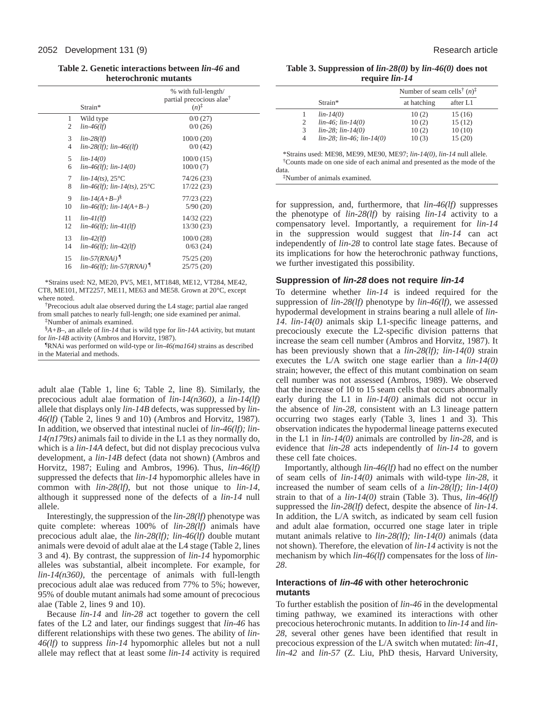**Table 2. Genetic interactions between** *lin-46* **and heterochronic mutants**

|    | Strain*                                   | % with full-length/<br>partial precocious alae <sup>†</sup><br>$(n)^{\ddagger}$ |
|----|-------------------------------------------|---------------------------------------------------------------------------------|
| 1  | Wild type                                 | 0/0(27)                                                                         |
| 2  | $lin-46(lf)$                              | 0/0(26)                                                                         |
| 3  | $lin-28(lf)$                              | 100/0(20)                                                                       |
| 4  | $lin-28(lf); lin-46((lf))$                | 0/0(42)                                                                         |
| 5  | $lin-14(0)$                               | 100/0(15)                                                                       |
| 6  | $lin-46(lf); lin-14(0)$                   | 100/0(7)                                                                        |
| 7  | $lin-14(ts)$ , $25^{\circ}$ C             | 74/26 (23)                                                                      |
| 8  | lin-46(lf); lin-14(ts), $25^{\circ}$ C    | 17/22(23)                                                                       |
| 9  | $lin-14(A+B-)^{8}$                        | 77/23(22)                                                                       |
| 10 | $lin-46(lf); lin-14(A+B-)$                | 5/90(20)                                                                        |
| 11 | $lin-41(lf)$                              | 14/32(22)                                                                       |
| 12 | $lin-46(lf); lin-41(lf)$                  | 13/30(23)                                                                       |
| 13 | $lin-42(lf)$                              | 100/0 (28)                                                                      |
| 14 | $lin-46(lf); lin-42(lf)$                  | 0/63(24)                                                                        |
| 15 | $lin-57(RNAi)$                            | 75/25(20)                                                                       |
| 16 | <i>lin-46(lf)</i> ; <i>lin-57(RNAi)</i> 1 | 25/75(20)                                                                       |

\*Strains used: N2, ME20, PV5, ME1, MT1848, ME12, VT284, ME42, CT8*,* ME101, MT2257, ME11, ME63 and ME58. Grown at 20°C, except where noted.

†Precocious adult alae observed during the L4 stage; partial alae ranged from small patches to nearly full-length; one side examined per animal. ‡Number of animals examined.

§*A+B–*, an allele of *lin-14* that is wild type for *lin-14A* activity, but mutant for *lin-14B* activity (Ambros and Horvitz, 1987).

¶RNAi was performed on wild-type or *lin-46(ma164)* strains as described in the Material and methods.

adult alae (Table 1, line 6; Table 2, line 8). Similarly, the precocious adult alae formation of *lin-14(n360)*, a *lin-14(lf)* allele that displays only *lin-14B* defects, was suppressed by *lin-46(lf)* (Table 2, lines 9 and 10) (Ambros and Horvitz, 1987). In addition, we observed that intestinal nuclei of *lin-46(lf); lin-14(n179ts)* animals fail to divide in the L1 as they normally do, which is a *lin-14A* defect, but did not display precocious vulva development, a *lin-14B* defect (data not shown) (Ambros and Horvitz, 1987; Euling and Ambros, 1996). Thus, *lin-46(lf)* suppressed the defects that *lin-14* hypomorphic alleles have in common with *lin-28(lf)*, but not those unique to *lin-14*, although it suppressed none of the defects of a *lin-14* null allele.

Interestingly, the suppression of the *lin-28(lf)* phenotype was quite complete: whereas 100% of *lin-28(lf)* animals have precocious adult alae, the *lin-28(lf); lin-46(lf)* double mutant animals were devoid of adult alae at the L4 stage (Table 2, lines 3 and 4). By contrast, the suppression of *lin-14* hypomorphic alleles was substantial, albeit incomplete. For example, for *lin-14(n360)*, the percentage of animals with full-length precocious adult alae was reduced from 77% to 5%; however, 95% of double mutant animals had some amount of precocious alae (Table 2, lines 9 and 10).

Because *lin-14* and *lin-28* act together to govern the cell fates of the L2 and later, our findings suggest that *lin-46* has different relationships with these two genes. The ability of *lin-46(lf)* to suppress *lin-14* hypomorphic alleles but not a null allele may reflect that at least some *lin-14* activity is required

**Table 3. Suppression of** *lin-28(0)* **by** *lin-46(0)* **does not require** *lin-14*

|                |                                   | Number of seam cells <sup>†</sup> $(n)$ <sup><math>\ddagger</math></sup> |          |  |
|----------------|-----------------------------------|--------------------------------------------------------------------------|----------|--|
|                | Strain*                           | at hatching                                                              | after L1 |  |
| 1              | $lin-14(0)$                       | 10(2)                                                                    | 15 (16)  |  |
| $\overline{c}$ | $lin-46$ ; $lin-14(0)$            | 10(2)                                                                    | 15(12)   |  |
| 3              | $lin-28$ ; $lin-14(0)$            | 10(2)                                                                    | 10(10)   |  |
| $\overline{4}$ | $lin-28$ ; $lin-46$ ; $lin-14(0)$ | 10(3)                                                                    | 15(20)   |  |

data.

‡Number of animals examined.

for suppression, and, furthermore, that *lin-46(lf)* suppresses the phenotype of *lin-28(lf)* by raising *lin-14* activity to a compensatory level. Importantly, a requirement for *lin-14* in the suppression would suggest that *lin-14* can act independently of *lin-28* to control late stage fates. Because of its implications for how the heterochronic pathway functions, we further investigated this possibility.

#### **Suppression of lin-28 does not require lin-14**

To determine whether *lin-14* is indeed required for the suppression of *lin-28(lf)* phenotype by *lin-46(lf)*, we assessed hypodermal development in strains bearing a null allele of *lin-14*. *lin-14(0)* animals skip L1-specific lineage patterns, and precociously execute the L2-specific division patterns that increase the seam cell number (Ambros and Horvitz, 1987). It has been previously shown that a *lin-28(lf); lin-14(0)* strain executes the L/A switch one stage earlier than a *lin-14(0)* strain; however, the effect of this mutant combination on seam cell number was not assessed (Ambros, 1989). We observed that the increase of 10 to 15 seam cells that occurs abnormally early during the L1 in *lin-14(0)* animals did not occur in the absence of *lin-28*, consistent with an L3 lineage pattern occurring two stages early (Table 3, lines 1 and 3). This observation indicates the hypodermal lineage patterns executed in the L1 in *lin-14(0)* animals are controlled by *lin-28*, and is evidence that *lin-28* acts independently of *lin-14* to govern these cell fate choices.

Importantly, although *lin-46(lf)* had no effect on the number of seam cells of *lin-14(0)* animals with wild-type *lin-28*, it increased the number of seam cells of a *lin-28(lf); lin-14(0)* strain to that of a *lin-14(0)* strain (Table 3). Thus, *lin-46(lf)* suppressed the *lin-28(lf)* defect, despite the absence of *lin-14*. In addition, the L/A switch, as indicated by seam cell fusion and adult alae formation, occurred one stage later in triple mutant animals relative to *lin-28(lf); lin-14(0)* animals (data not shown). Therefore, the elevation of *lin-14* activity is not the mechanism by which *lin-46(lf)* compensates for the loss of *lin-28*.

### **Interactions of lin-46 with other heterochronic mutants**

To further establish the position of *lin-46* in the developmental timing pathway, we examined its interactions with other precocious heterochronic mutants. In addition to *lin-14* and *lin-28*, several other genes have been identified that result in precocious expression of the L/A switch when mutated: *lin-41*, *lin-42* and *lin-57* (Z. Liu, PhD thesis, Harvard University,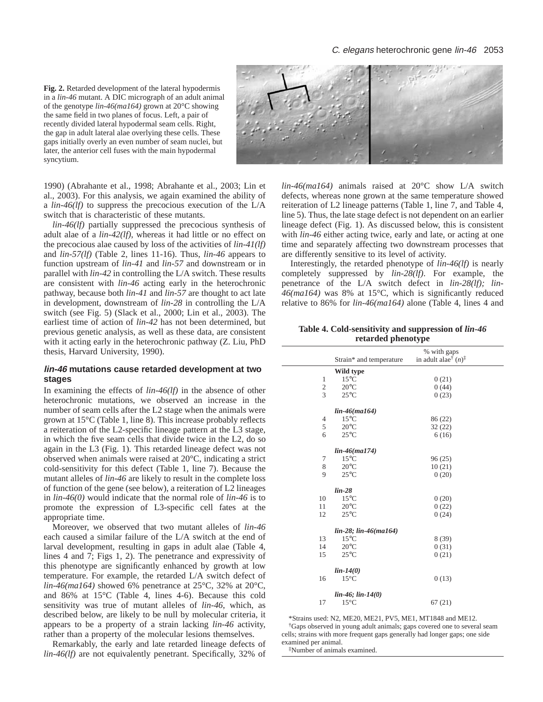#### C. elegans heterochronic gene lin-46 2053

**Fig. 2.** Retarded development of the lateral hypodermis in a *lin-46* mutant. A DIC micrograph of an adult animal of the genotype *lin-46(ma164)* grown at 20°C showing the same field in two planes of focus. Left, a pair of recently divided lateral hypodermal seam cells. Right, the gap in adult lateral alae overlying these cells. These gaps initially overly an even number of seam nuclei, but later, the anterior cell fuses with the main hypodermal syncytium.

1990) (Abrahante et al., 1998; Abrahante et al., 2003; Lin et al., 2003). For this analysis, we again examined the ability of a *lin-46(lf)* to suppress the precocious execution of the L/A switch that is characteristic of these mutants.

*lin-46(lf)* partially suppressed the precocious synthesis of adult alae of a *lin-42(lf)*, whereas it had little or no effect on the precocious alae caused by loss of the activities of *lin-41(lf)* and *lin-57(lf)* (Table 2, lines 11-16). Thus, *lin-46* appears to function upstream of *lin-41* and *lin-57* and downstream or in parallel with *lin-42* in controlling the L/A switch. These results are consistent with *lin-46* acting early in the heterochronic pathway, because both *lin-41* and *lin-57* are thought to act late in development, downstream of *lin-28* in controlling the L/A switch (see Fig. 5) (Slack et al., 2000; Lin et al., 2003). The earliest time of action of *lin-42* has not been determined, but previous genetic analysis, as well as these data, are consistent with it acting early in the heterochronic pathway (Z. Liu, PhD thesis, Harvard University, 1990).

#### **lin-46 mutations cause retarded development at two stages**

In examining the effects of *lin-46(lf)* in the absence of other heterochronic mutations, we observed an increase in the number of seam cells after the L2 stage when the animals were grown at 15°C (Table 1, line 8). This increase probably reflects a reiteration of the L2-specific lineage pattern at the L3 stage, in which the five seam cells that divide twice in the L2, do so again in the L3 (Fig. 1). This retarded lineage defect was not observed when animals were raised at 20°C, indicating a strict cold-sensitivity for this defect (Table 1, line 7). Because the mutant alleles of *lin-46* are likely to result in the complete loss of function of the gene (see below), a reiteration of L2 lineages in *lin-46(0)* would indicate that the normal role of *lin-46* is to promote the expression of L3-specific cell fates at the appropriate time.

Moreover, we observed that two mutant alleles of *lin-46* each caused a similar failure of the L/A switch at the end of larval development, resulting in gaps in adult alae (Table 4, lines 4 and 7; Figs 1, 2). The penetrance and expressivity of this phenotype are significantly enhanced by growth at low temperature. For example, the retarded L/A switch defect of *lin-46(ma164)* showed 6% penetrance at 25°C, 32% at 20°C, and 86% at 15°C (Table 4, lines 4-6). Because this cold sensitivity was true of mutant alleles of *lin-46*, which, as described below, are likely to be null by molecular criteria, it appears to be a property of a strain lacking *lin-46* activity, rather than a property of the molecular lesions themselves.

Remarkably, the early and late retarded lineage defects of *lin-46(lf)* are not equivalently penetrant. Specifically, 32% of



*lin-46(ma164)* animals raised at 20°C show L/A switch defects, whereas none grown at the same temperature showed reiteration of L2 lineage patterns (Table 1, line 7, and Table 4, line 5). Thus, the late stage defect is not dependent on an earlier lineage defect (Fig. 1). As discussed below, this is consistent with *lin-46* either acting twice, early and late, or acting at one time and separately affecting two downstream processes that are differently sensitive to its level of activity.

Interestingly, the retarded phenotype of *lin-46(lf)* is nearly completely suppressed by *lin-28(lf)*. For example, the penetrance of the L/A switch defect in *lin-28(lf); lin-46(ma164)* was 8% at 15°C, which is significantly reduced relative to 86% for *lin-46(ma164)* alone (Table 4, lines 4 and

#### **Table 4. Cold-sensitivity and suppression of** *lin-46* **retarded phenotype**

|                  | $ -$<br>л.              | ี ⊌ ∎'                                                            |  |
|------------------|-------------------------|-------------------------------------------------------------------|--|
|                  |                         | % with gaps                                                       |  |
|                  | Strain* and temperature | in adult alae <sup>†</sup> $(n)$ <sup><math>\ddagger</math></sup> |  |
|                  | Wild type               |                                                                   |  |
| 1                | $15^{\circ}$ C          | 0(21)                                                             |  |
| $\boldsymbol{2}$ | $20^{\circ}$ C          | 0(44)                                                             |  |
| 3                | $25^{\circ}$ C          | 0(23)                                                             |  |
|                  |                         |                                                                   |  |
|                  | $lin-46(mal64)$         |                                                                   |  |
| $\overline{4}$   | $15^{\circ}$ C          | 86 (22)                                                           |  |
| 5                | $20^{\circ}$ C          | 32(22)                                                            |  |
| 6                | $25^{\circ}$ C          | 6(16)                                                             |  |
|                  | $lin-46(mal74)$         |                                                                   |  |
| 7                | $15^{\circ}$ C          | 96(25)                                                            |  |
| 8                |                         |                                                                   |  |
|                  | $20^{\circ}$ C          | 10(21)                                                            |  |
| 9                | $25^{\circ}$ C          | 0(20)                                                             |  |
|                  | $lin-28$                |                                                                   |  |
| 10               | $15^{\circ}$ C          | 0(20)                                                             |  |
| 11               | $20^{\circ}$ C          | 0(22)                                                             |  |
| 12               | $25^{\circ}$ C          | 0(24)                                                             |  |
|                  |                         |                                                                   |  |
|                  | lin-28; lin-46(ma164)   |                                                                   |  |
| 13               | $15^{\circ}$ C          | 8 (39)                                                            |  |
| 14               | $20^{\circ}$ C          | 0(31)                                                             |  |
| 15               | $25^{\circ}$ C          | 0(21)                                                             |  |
|                  | $lin-14(0)$             |                                                                   |  |
| 16               | $15^{\circ}$ C          | 0(13)                                                             |  |
|                  |                         |                                                                   |  |
|                  | lin-46; lin-14(0)       |                                                                   |  |
| 17               | $15^{\circ}$ C          | 67(21)                                                            |  |
|                  |                         |                                                                   |  |

\*Strains used: N2, ME20, ME21, PV5, ME1, MT1848 and ME12. †Gaps observed in young adult animals; gaps covered one to several seam cells; strains with more frequent gaps generally had longer gaps; one side examined per animal.

‡Number of animals examined.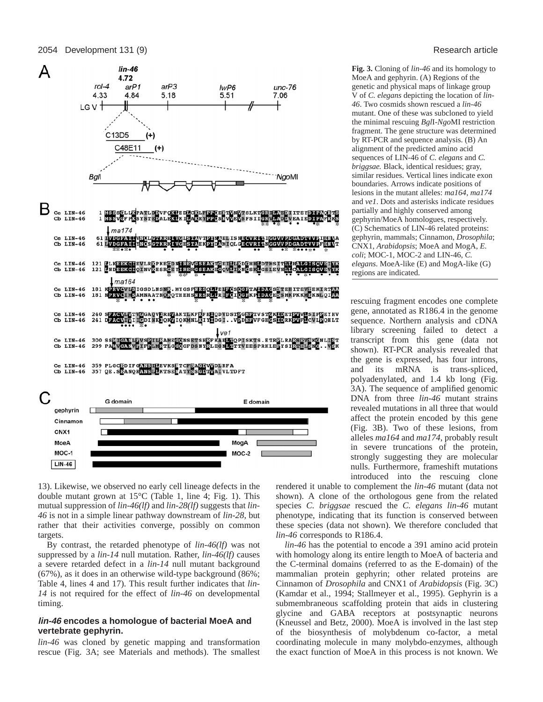#### 2054 Development 131 (9) Research article



13). Likewise, we observed no early cell lineage defects in the double mutant grown at 15°C (Table 1, line 4; Fig. 1). This mutual suppression of *lin-46(lf)* and *lin-28(lf)* suggests that *lin-46* is not in a simple linear pathway downstream of *lin-28*, but rather that their activities converge, possibly on common targets.

 $LIN-46$ 

By contrast, the retarded phenotype of *lin-46(lf)* was not suppressed by a *lin-14* null mutation. Rather, *lin-46(lf)* causes a severe retarded defect in a *lin-14* null mutant background (67%), as it does in an otherwise wild-type background (86%; Table 4, lines 4 and 17). This result further indicates that *lin-14* is not required for the effect of *lin-46* on developmental timing.

#### **lin-46 encodes a homologue of bacterial MoeA and vertebrate gephyrin.**

*lin-46* was cloned by genetic mapping and transformation rescue (Fig. 3A; see Materials and methods). The smallest

**Fig. 3.** Cloning of *lin-46* and its homology to MoeA and gephyrin. (A) Regions of the genetic and physical maps of linkage group V of *C. elegans* depicting the location of *lin-46*. Two cosmids shown rescued a *lin-46* mutant. One of these was subcloned to yield the minimal rescuing *Bgl*I-*Ngo*MI restriction fragment. The gene structure was determined by RT-PCR and sequence analysis. (B) An alignment of the predicted amino acid sequences of LIN-46 of *C. elegans* and *C. briggsae.* Black, identical residues; gray, similar residues. Vertical lines indicate exon boundaries. Arrows indicate positions of lesions in the mutant alleles: *ma164*, *ma174* and *ve1*. Dots and asterisks indicate residues partially and highly conserved among gephyrin/MoeA homologues, respectively. (C) Schematics of LIN-46 related proteins: gephyrin, mammals; Cinnamon, *Drosophila*; CNX1, *Arabidopsis*; MoeA and MogA, *E. coli*; MOC-1, MOC-2 and LIN-46, *C. elegans*. MoeA-like (E) and MogA-like (G) regions are indicated.

rescuing fragment encodes one complete gene, annotated as R186.4 in the genome sequence. Northern analysis and cDNA library screening failed to detect a transcript from this gene (data not shown). RT-PCR analysis revealed that the gene is expressed, has four introns, and its mRNA is trans-spliced, polyadenylated, and 1.4 kb long (Fig. 3A). The sequence of amplified genomic DNA from three *lin-46* mutant strains revealed mutations in all three that would affect the protein encoded by this gene (Fig. 3B). Two of these lesions, from alleles *ma164* and *ma174*, probably result in severe truncations of the protein, strongly suggesting they are molecular nulls. Furthermore, frameshift mutations introduced into the rescuing clone

rendered it unable to complement the *lin-46* mutant (data not shown). A clone of the orthologous gene from the related species *C. briggsae* rescued the *C. elegans lin-46* mutant phenotype, indicating that its function is conserved between these species (data not shown). We therefore concluded that *lin-46* corresponds to R186.4.

*lin-46* has the potential to encode a 391 amino acid protein with homology along its entire length to MoeA of bacteria and the C-terminal domains (referred to as the E-domain) of the mammalian protein gephyrin; other related proteins are Cinnamon of *Drosophila* and CNX1 of *Arabidopsis* (Fig. 3C) (Kamdar et al., 1994; Stallmeyer et al., 1995). Gephyrin is a submembraneous scaffolding protein that aids in clustering glycine and GABA receptors at postsynaptic neurons (Kneussel and Betz, 2000). MoeA is involved in the last step of the biosynthesis of molybdenum co-factor, a metal coordinating molecule in many molybdo-enzymes, although the exact function of MoeA in this process is not known. We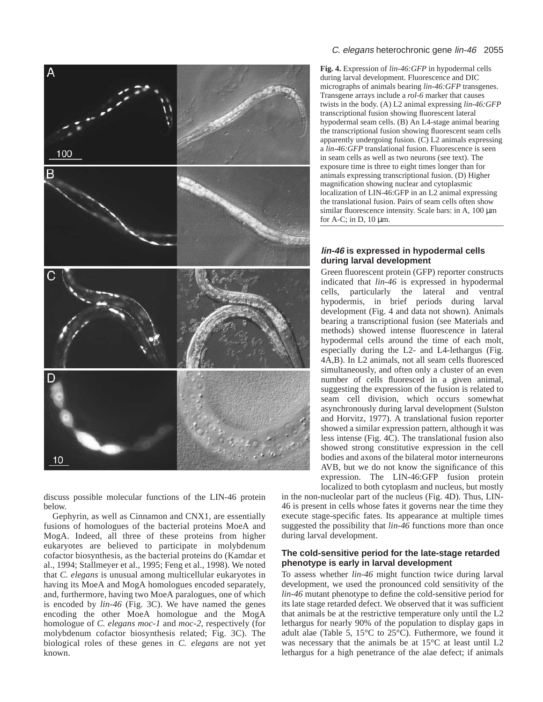

discuss possible molecular functions of the LIN-46 protein below.

Gephyrin, as well as Cinnamon and CNX1, are essentially fusions of homologues of the bacterial proteins MoeA and MogA. Indeed, all three of these proteins from higher eukaryotes are believed to participate in molybdenum cofactor biosynthesis, as the bacterial proteins do (Kamdar et al., 1994; Stallmeyer et al., 1995; Feng et al., 1998). We noted that *C. elegans* is unusual among multicellular eukaryotes in having its MoeA and MogA homologues encoded separately, and, furthermore, having two MoeA paralogues, one of which is encoded by *lin-46* (Fig. 3C). We have named the genes encoding the other MoeA homologue and the MogA homologue of *C. elegans moc-1* and *moc-2*, respectively (for molybdenum cofactor biosynthesis related; Fig. 3C). The biological roles of these genes in *C. elegans* are not yet known.

#### C. elegans heterochronic gene lin-46 2055

**Fig. 4.** Expression of *lin-46:GFP* in hypodermal cells during larval development. Fluorescence and DIC micrographs of animals bearing *lin-46:GFP* transgenes. Transgene arrays include a *rol-6* marker that causes twists in the body. (A) L2 animal expressing *lin-46:GFP* transcriptional fusion showing fluorescent lateral hypodermal seam cells. (B) An L4-stage animal bearing the transcriptional fusion showing fluorescent seam cells apparently undergoing fusion. (C) L2 animals expressing a *lin-46:GFP* translational fusion. Fluorescence is seen in seam cells as well as two neurons (see text). The exposure time is three to eight times longer than for animals expressing transcriptional fusion. (D) Higher magnification showing nuclear and cytoplasmic localization of LIN-46:GFP in an L2 animal expressing the translational fusion. Pairs of seam cells often show similar fluorescence intensity. Scale bars: in A, 100  $\mu$ m for A-C; in D,  $10 \mu m$ .

## **lin-46 is expressed in hypodermal cells during larval development**

Green fluorescent protein (GFP) reporter constructs indicated that *lin-46* is expressed in hypodermal cells, particularly the lateral and ventral hypodermis, in brief periods during larval development (Fig. 4 and data not shown). Animals bearing a transcriptional fusion (see Materials and methods) showed intense fluorescence in lateral hypodermal cells around the time of each molt, especially during the L2- and L4-lethargus (Fig. 4A,B). In L2 animals, not all seam cells fluoresced simultaneously, and often only a cluster of an even number of cells fluoresced in a given animal, suggesting the expression of the fusion is related to seam cell division, which occurs somewhat asynchronously during larval development (Sulston and Horvitz, 1977). A translational fusion reporter showed a similar expression pattern, although it was less intense (Fig. 4C). The translational fusion also showed strong constitutive expression in the cell bodies and axons of the bilateral motor interneurons AVB, but we do not know the significance of this expression. The LIN-46:GFP fusion protein localized to both cytoplasm and nucleus, but mostly

in the non-nucleolar part of the nucleus (Fig. 4D). Thus, LIN-46 is present in cells whose fates it governs near the time they execute stage-specific fates. Its appearance at multiple times suggested the possibility that *lin-46* functions more than once during larval development.

#### **The cold-sensitive period for the late-stage retarded phenotype is early in larval development**

To assess whether *lin-46* might function twice during larval development, we used the pronounced cold sensitivity of the *lin-46* mutant phenotype to define the cold-sensitive period for its late stage retarded defect. We observed that it was sufficient that animals be at the restrictive temperature only until the L2 lethargus for nearly 90% of the population to display gaps in adult alae (Table 5, 15°C to 25°C). Futhermore, we found it was necessary that the animals be at 15°C at least until L2 lethargus for a high penetrance of the alae defect; if animals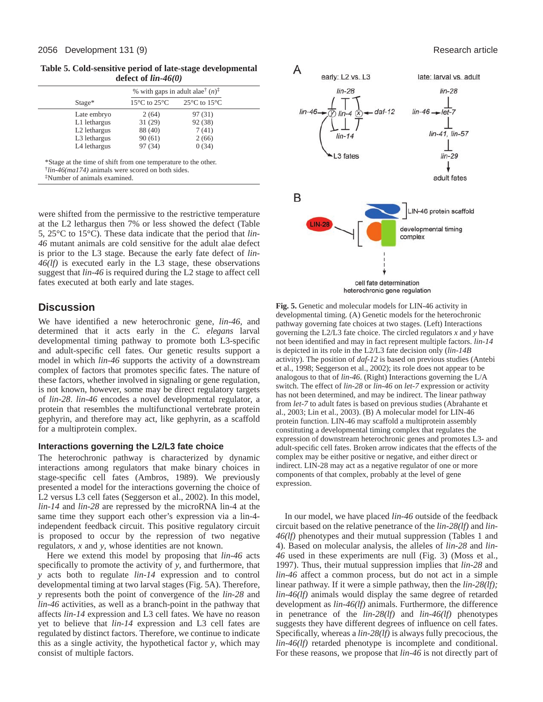**Table 5. Cold-sensitive period of late-stage developmental defect of** *lin-46(0)*

|                          |                                  | % with gaps in adult alae <sup>†</sup> $(n)$ <sup><math>\ddagger</math></sup> |  |  |
|--------------------------|----------------------------------|-------------------------------------------------------------------------------|--|--|
| $Stage*$                 | $15^{\circ}$ C to $25^{\circ}$ C | 25 $\rm{^{\circ}C}$ to 15 $\rm{^{\circ}C}$                                    |  |  |
| Late embryo              | 2(64)                            | 97 (31)                                                                       |  |  |
| L1 lethargus             | 31(29)                           | 92 (38)                                                                       |  |  |
| L <sub>2</sub> lethargus | 88 (40)                          | 7(41)                                                                         |  |  |
| L3 lethargus             | 90(61)                           | 2(66)                                                                         |  |  |
| L4 lethargus             | 97 (34)                          | 0(34)                                                                         |  |  |

†*lin-46(ma174)* animals were scored on both sides.

‡Number of animals examined.

were shifted from the permissive to the restrictive temperature at the L2 lethargus then 7% or less showed the defect (Table 5, 25°C to 15°C). These data indicate that the period that *lin-46* mutant animals are cold sensitive for the adult alae defect is prior to the L3 stage. Because the early fate defect of *lin-46(lf)* is executed early in the L3 stage, these observations suggest that *lin-46* is required during the L2 stage to affect cell fates executed at both early and late stages.

# **Discussion**

We have identified a new heterochronic gene, *lin-46*, and determined that it acts early in the *C. elegans* larval developmental timing pathway to promote both L3-specific and adult-specific cell fates. Our genetic results support a model in which *lin-46* supports the activity of a downstream complex of factors that promotes specific fates. The nature of these factors, whether involved in signaling or gene regulation, is not known, however, some may be direct regulatory targets of *lin-28*. *lin-46* encodes a novel developmental regulator, a protein that resembles the multifunctional vertebrate protein gephyrin, and therefore may act, like gephyrin, as a scaffold for a multiprotein complex.

# **Interactions governing the L2/L3 fate choice**

The heterochronic pathway is characterized by dynamic interactions among regulators that make binary choices in stage-specific cell fates (Ambros, 1989). We previously presented a model for the interactions governing the choice of L2 versus L3 cell fates (Seggerson et al., 2002). In this model, *lin-14* and *lin-28* are repressed by the microRNA lin-4 at the same time they support each other's expression via a lin-4 independent feedback circuit. This positive regulatory circuit is proposed to occur by the repression of two negative regulators, *x* and *y*, whose identities are not known.

Here we extend this model by proposing that *lin-46* acts specifically to promote the activity of *y*, and furthermore, that *y* acts both to regulate *lin-14* expression and to control developmental timing at two larval stages (Fig. 5A). Therefore, *y* represents both the point of convergence of the *lin-28* and *lin-46* activities, as well as a branch-point in the pathway that affects *lin-14* expression and L3 cell fates. We have no reason yet to believe that *lin-14* expression and L3 cell fates are regulated by distinct factors. Therefore, we continue to indicate this as a single activity, the hypothetical factor *y*, which may consist of multiple factors.



**Fig. 5.** Genetic and molecular models for LIN-46 activity in developmental timing*.* (A) Genetic models for the heterochronic pathway governing fate choices at two stages. (Left) Interactions governing the L2/L3 fate choice. The circled regulators *x* and *y* have not been identified and may in fact represent multiple factors. *lin-14* is depicted in its role in the L2/L3 fate decision only (*lin-14B* activity). The position of *daf-12* is based on previous studies (Antebi et al., 1998; Seggerson et al., 2002); its role does not appear to be analogous to that of *lin-46*. (Right) Interactions governing the L/A switch. The effect of *lin-28* or *lin-46* on *let-7* expression or activity has not been determined, and may be indirect. The linear pathway from *let-7* to adult fates is based on previous studies (Abrahante et al., 2003; Lin et al., 2003). (B) A molecular model for LIN-46 protein function. LIN-46 may scaffold a multiprotein assembly constituting a developmental timing complex that regulates the expression of downstream heterochronic genes and promotes L3- and adult-specific cell fates. Broken arrow indicates that the effects of the complex may be either positive or negative, and either direct or indirect. LIN-28 may act as a negative regulator of one or more components of that complex, probably at the level of gene expression.

In our model, we have placed *lin-46* outside of the feedback circuit based on the relative penetrance of the *lin-28(lf)* and *lin-46(lf)* phenotypes and their mutual suppression (Tables 1 and 4). Based on molecular analysis, the alleles of *lin-28* and *lin-46* used in these experiments are null (Fig. 3) (Moss et al., 1997). Thus, their mutual suppression implies that *lin-28* and *lin-46* affect a common process, but do not act in a simple linear pathway. If it were a simple pathway, then the *lin-28(lf); lin-46(lf)* animals would display the same degree of retarded development as *lin-46(lf)* animals. Furthermore, the difference in penetrance of the *lin-28(lf)* and *lin-46(lf)* phenotypes suggests they have different degrees of influence on cell fates. Specifically, whereas a *lin-28(lf)* is always fully precocious, the *lin-46(lf)* retarded phenotype is incomplete and conditional. For these reasons, we propose that *lin-46* is not directly part of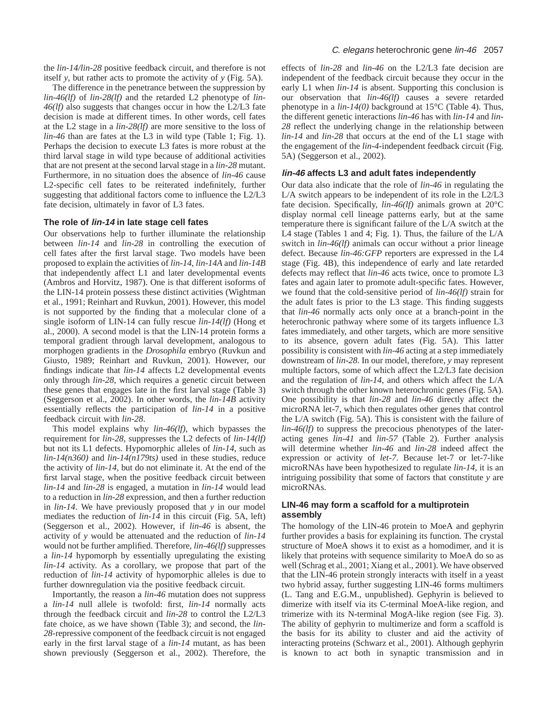the *lin-14/lin-28* positive feedback circuit, and therefore is not itself *y*, but rather acts to promote the activity of *y* (Fig. 5A).

The difference in the penetrance between the suppression by *lin-46(lf)* of *lin-28(lf)* and the retarded L2 phenotype of *lin-46(lf)* also suggests that changes occur in how the L2/L3 fate decision is made at different times. In other words, cell fates at the L2 stage in a *lin-28(lf)* are more sensitive to the loss of *lin-46* than are fates at the L3 in wild type (Table 1; Fig. 1). Perhaps the decision to execute L3 fates is more robust at the third larval stage in wild type because of additional activities that are not present at the second larval stage in a *lin-28* mutant. Furthermore, in no situation does the absence of *lin-46* cause L2-specific cell fates to be reiterated indefinitely, further suggesting that additional factors come to influence the L2/L3 fate decision, ultimately in favor of L3 fates.

#### **The role of lin-14 in late stage cell fates**

Our observations help to further illuminate the relationship between *lin-14* and *lin-28* in controlling the execution of cell fates after the first larval stage. Two models have been proposed to explain the activities of *lin-14*, *lin-14A* and *lin-14B* that independently affect L1 and later developmental events (Ambros and Horvitz, 1987). One is that different isoforms of the LIN-14 protein possess these distinct activities (Wightman et al., 1991; Reinhart and Ruvkun, 2001). However, this model is not supported by the finding that a molecular clone of a single isoform of LIN-14 can fully rescue *lin-14(lf)* (Hong et al., 2000). A second model is that the LIN-14 protein forms a temporal gradient through larval development, analogous to morphogen gradients in the *Drosophila* embryo (Ruvkun and Giusto, 1989; Reinhart and Ruvkun, 2001). However, our findings indicate that *lin-14* affects L2 developmental events only through *lin-28*, which requires a genetic circuit between these genes that engages late in the first larval stage (Table 3) (Seggerson et al., 2002). In other words, the *lin-14B* activity essentially reflects the participation of *lin-14* in a positive feedback circuit with *lin-28*.

This model explains why *lin-46(lf)*, which bypasses the requirement for *lin-28*, suppresses the L2 defects of *lin-14(lf)* but not its L1 defects. Hypomorphic alleles of *lin-14*, such as *lin-14(n360)* and *lin-14(n179ts)* used in these studies, reduce the activity of *lin-14*, but do not eliminate it. At the end of the first larval stage, when the positive feedback circuit between *lin-14* and *lin-28* is engaged, a mutation in *lin-14* would lead to a reduction in *lin-28* expression, and then a further reduction in *lin-14*. We have previously proposed that *y* in our model mediates the reduction of *lin-14* in this circuit (Fig. 5A, left) (Seggerson et al., 2002). However, if *lin-46* is absent, the activity of *y* would be attenuated and the reduction of *lin-14* would not be further amplified. Therefore, *lin-46(lf)* suppresses a *lin-14* hypomorph by essentially upregulating the existing *lin-14* activity. As a corollary, we propose that part of the reduction of *lin-14* activity of hypomorphic alleles is due to further downregulation via the positive feedback circuit.

Importantly, the reason a *lin-46* mutation does not suppress a *lin-14* null allele is twofold: first, *lin-14* normally acts through the feedback circuit and *lin-28* to control the L2/L3 fate choice, as we have shown (Table 3); and second, the *lin-28*-repressive component of the feedback circuit is not engaged early in the first larval stage of a *lin-14* mutant, as has been shown previously (Seggerson et al., 2002). Therefore, the

effects of *lin-28* and *lin-46* on the L2/L3 fate decision are independent of the feedback circuit because they occur in the early L1 when *lin-14* is absent. Supporting this conclusion is our observation that *lin-46(lf)* causes a severe retarded phenotype in a *lin-14(0)* background at 15°C (Table 4). Thus, the different genetic interactions *lin-46* has with *lin-14* and *lin-28* reflect the underlying change in the relationship between *lin-14* and *lin-28* that occurs at the end of the L1 stage with the engagement of the *lin-4*-independent feedback circuit (Fig. 5A) (Seggerson et al., 2002).

#### **lin-46 affects L3 and adult fates independently**

Our data also indicate that the role of *lin-46* in regulating the L/A switch appears to be independent of its role in the L2/L3 fate decision. Specifically, *lin-46(lf)* animals grown at 20°C display normal cell lineage patterns early, but at the same temperature there is significant failure of the L/A switch at the L4 stage (Tables 1 and 4; Fig. 1). Thus, the failure of the L/A switch in *lin-46(lf)* animals can occur without a prior lineage defect. Because *lin-46:GFP* reporters are expressed in the L4 stage (Fig. 4B), this independence of early and late retarded defects may reflect that *lin-46* acts twice, once to promote L3 fates and again later to promote adult-specific fates. However, we found that the cold-sensitive period of *lin-46(lf)* strain for the adult fates is prior to the L3 stage. This finding suggests that *lin-46* normally acts only once at a branch-point in the heterochronic pathway where some of its targets influence L3 fates immediately, and other targets, which are more sensitive to its absence, govern adult fates (Fig. 5A). This latter possibility is consistent with *lin-46* acting at a step immediately downstream of *lin-28*. In our model, therefore, *y* may represent multiple factors, some of which affect the L2/L3 fate decision and the regulation of *lin-14*, and others which affect the L/A switch through the other known heterochronic genes (Fig. 5A). One possibility is that *lin-28* and *lin-46* directly affect the microRNA let-7, which then regulates other genes that control the L/A switch (Fig. 5A). This is consistent with the failure of *lin-46(lf)* to suppress the precocious phenotypes of the lateracting genes *lin-41* and *lin-57* (Table 2). Further analysis will determine whether *lin-46* and *lin-28* indeed affect the expression or activity of *let-7*. Because let-7 or let-7-like microRNAs have been hypothesized to regulate *lin-14*, it is an intriguing possibility that some of factors that constitute *y* are microRNAs.

#### **LIN-46 may form a scaffold for a multiprotein assembly**

The homology of the LIN-46 protein to MoeA and gephyrin further provides a basis for explaining its function. The crystal structure of MoeA shows it to exist as a homodimer, and it is likely that proteins with sequence similarity to MoeA do so as well (Schrag et al., 2001; Xiang et al., 2001). We have observed that the LIN-46 protein strongly interacts with itself in a yeast two hybrid assay, further suggesting LIN-46 forms multimers (L. Tang and E.G.M., unpublished). Gephyrin is believed to dimerize with itself via its C-terminal MoeA-like region, and trimerize with its N-terminal MogA-like region (see Fig. 3). The ability of gephyrin to multimerize and form a scaffold is the basis for its ability to cluster and aid the activity of interacting proteins (Schwarz et al., 2001). Although gephyrin is known to act both in synaptic transmission and in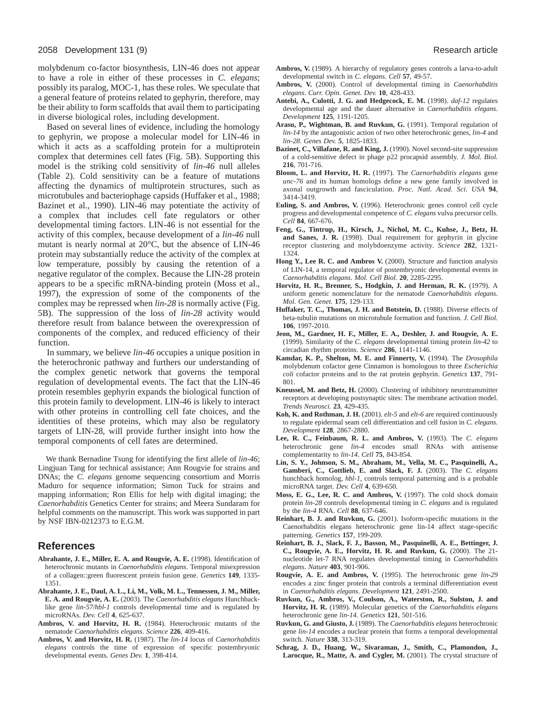molybdenum co-factor biosynthesis, LIN-46 does not appear to have a role in either of these processes in *C. elegans*; possibly its paralog, MOC-1, has these roles. We speculate that a general feature of proteins related to gephyrin, therefore, may be their ability to form scaffolds that avail them to participating in diverse biological roles, including development.

Based on several lines of evidence, including the homology to gephyrin, we propose a molecular model for LIN-46 in which it acts as a scaffolding protein for a multiprotein complex that determines cell fates (Fig. 5B). Supporting this model is the striking cold sensitivity of *lin-46* null alleles (Table 2). Cold sensitivity can be a feature of mutations affecting the dynamics of multiprotein structures, such as microtubules and bacteriophage capsids (Huffaker et al., 1988; Bazinet et al., 1990). LIN-46 may potentiate the activity of a complex that includes cell fate regulators or other developmental timing factors. LIN-46 is not essential for the activity of this complex, because development of a *lin-46* null mutant is nearly normal at 20°C, but the absence of LIN-46 protein may substantially reduce the activity of the complex at low temperature, possibly by causing the retention of a negative regulator of the complex. Because the LIN-28 protein appears to be a specific mRNA-binding protein (Moss et al., 1997), the expression of some of the components of the complex may be repressed when *lin-28* is normally active (Fig. 5B). The suppression of the loss of *lin-28* activity would therefore result from balance between the overexpression of components of the complex, and reduced efficiency of their function.

In summary, we believe *lin-46* occupies a unique position in the heterochronic pathway and furthers our understanding of the complex genetic network that governs the temporal regulation of developmental events. The fact that the LIN-46 protein resembles gephyrin expands the biological function of this protein family to development. LIN-46 is likely to interact with other proteins in controlling cell fate choices, and the identities of these proteins, which may also be regulatory targets of LIN-28, will provide further insight into how the temporal components of cell fates are determined.

We thank Bernadine Tsung for identifying the first allele of *lin-46*; Lingjuan Tang for technical assistance; Ann Rougvie for strains and DNAs; the *C. elegans* genome sequencing consortium and Morris Maduro for sequence information; Simon Tuck for strains and mapping information; Ron Ellis for help with digital imaging; the *Caenorhabditis* Genetics Center for strains; and Meera Sundaram for helpful comments on the manuscript. This work was supported in part by NSF IBN-0212373 to E.G.M.

# **References**

- **Abrahante, J. E., Miller, E. A. and Rougvie, A. E.** (1998). Identification of heterochronic mutants in *Caenorhabditis elegans*. Temporal misexpression of a collagen::green fluorescent protein fusion gene. *Genetics* **149**, 1335- 1351.
- **Abrahante, J. E., Daul, A. L., Li, M., Volk, M. L., Tennessen, J. M., Miller, E. A. and Rougvie, A. E.** (2003). The *Caenorhabditis elegans* Hunchbacklike gene *lin-57/hbl-1* controls developmental time and is regulated by microRNAs. *Dev. Cell* **4**, 625-637.
- **Ambros, V. and Horvitz, H. R.** (1984). Heterochronic mutants of the nematode *Caenorhabditis elegans*. *Science* **226**, 409-416.
- **Ambros, V. and Horvitz, H. R.** (1987). The *lin-14* locus of *Caenorhabditis elegans* controls the time of expression of specific postembryonic developmental events. *Genes Dev.* **1**, 398-414.
- **Ambros, V.** (1989). A hierarchy of regulatory genes controls a larva-to-adult developmental switch in *C. elegans*. *Cell* **57**, 49-57.
- **Ambros, V.** (2000). Control of developmental timing in *Caenorhabditis elegans*. *Curr. Opin. Genet. Dev.* **10**, 428-433.
- **Antebi, A., Culotti, J. G. and Hedgecock, E. M.** (1998). *daf-12* regulates developmental age and the dauer alternative in *Caenorhabditis elegans*. *Development* **125**, 1191-1205.
- **Arasu, P., Wightman, B. and Ruvkun, G.** (1991). Temporal regulation of *lin-14* by the antagonistic action of two other heterochronic genes, *lin-4* and *lin-28*. *Genes Dev.* **5**, 1825-1833.
- **Bazinet, C., Villafane, R. and King, J.** (1990). Novel second-site suppression of a cold-sensitive defect in phage p22 procapsid assembly. *J. Mol. Biol.* **216**, 701-716.
- **Bloom, L. and Horvitz, H. R.** (1997). The *Caenorhabditis elegans* gene *unc-76* and its human homologs define a new gene family involved in axonal outgrowth and fasciculation. *Proc. Natl. Acad. Sci. USA* **94**, 3414-3419.
- **Euling, S. and Ambros, V.** (1996). Heterochronic genes control cell cycle progress and developmental competence of *C. elegans* vulva precursor cells. *Cell* **84**, 667-676.
- **Feng, G., Tintrup, H., Kirsch, J., Nichol, M. C., Kuhse, J., Betz, H. and Sanes, J. R.** (1998). Dual requirement for gephyrin in glycine receptor clustering and molybdoenzyme activity. *Science* **282**, 1321- 1324.
- Hong Y., Lee R. C. and Ambros V. (2000). Structure and function analysis of LIN-14, a temporal regulator of postembryonic developmental events in *Caenorhabditis elegans*. *Mol. Cell Biol.* **20**, 2285-2295.
- **Horvitz, H. R., Brenner, S., Hodgkin, J. and Herman, R. K.** (1979). A uniform genetic nomenclature for the nematode *Caenorhabditis elegans*. *Mol. Gen. Genet.* **175**, 129-133.
- **Huffaker, T. C., Thomas, J. H. and Botstein, D.** (1988). Diverse effects of beta-tubulin mutations on microtubule formation and function. *J. Cell Biol.* **106**, 1997-2010.
- **Jeon, M., Gardner, H. F., Miller, E. A., Deshler, J. and Rougvie, A. E.** (1999). Similarity of the *C. elegans* developmental timing protein *lin-42* to circadian rhythm proteins. *Science* **286**, 1141-1146.
- **Kamdar, K. P., Shelton, M. E. and Finnerty, V.** (1994). The *Drosophila* molybdenum cofactor gene Cinnamon is homologous to three *Escherichia coli* cofactor proteins and to the rat protein gephyrin. *Genetics* **137**, 791- 801.
- **Kneussel, M. and Betz, H.** (2000). Clustering of inhibitory neurotransmitter receptors at developing postsynaptic sites: The membrane activation model. *Trends Neurosci.* **23**, 429-435.
- **Koh, K. and Rothman, J. H.** (2001). *elt-5* and *elt-6* are required continuously to regulate epidermal seam cell differentiation and cell fusion in *C. elegans*. *Development* **128**, 2867-2880.
- **Lee, R. C., Feinbaum, R. L. and Ambros, V.** (1993). The *C. elegans* heterochronic gene *lin-4* encodes small RNAs with antisense complementarity to *lin-14*. *Cell* **75**, 843-854.
- **Lin, S. Y., Johnson, S. M., Abraham, M., Vella, M. C., Pasquinelli, A., Gamberi, C., Gottlieb, E. and Slack, F. J.** (2003). The *C. elegans* hunchback homolog, *hbl-1*, controls temporal patterning and is a probable microRNA target. *Dev. Cell* **4**, 639-650.
- **Moss, E. G., Lee, R. C. and Ambros, V.** (1997). The cold shock domain protein *lin-28* controls developmental timing in *C. elegans* and is regulated by the *lin-4* RNA. *Cell* **88**, 637-646.
- **Reinhart, B. J. and Ruvkun, G.** (2001). Isoform-specific mutations in the Caenorhabditis elegans heterochronic gene lin-14 affect stage-specific patterning. *Genetics* **157**, 199-209.
- **Reinhart, B. J., Slack, F. J., Basson, M., Pasquinelli, A. E., Bettinger, J. C., Rougvie, A. E., Horvitz, H. R. and Ruvkun, G.** (2000). The 21 nucleotide let-7 RNA regulates developmental timing in *Caenorhabditis elegans*. *Nature* **403**, 901-906.
- **Rougvie, A. E. and Ambros, V.** (1995). The heterochronic gene *lin-29* encodes a zinc finger protein that controls a terminal differentiation event in *Caenorhabditis elegans*. *Development* **121**, 2491-2500.
- **Ruvkun, G., Ambros, V., Coulson, A., Waterston, R., Sulston, J. and Horvitz, H. R.** (1989). Molecular genetics of the *Caenorhabditis elegans* heterochronic gene *lin-14*. *Genetics* **121**, 501-516.
- **Ruvkun, G. and Giusto, J.** (1989). The *Caenorhabditis elegans* heterochronic gene *lin-14* encodes a nuclear protein that forms a temporal developmental switch. *Nature* **338**, 313-319.
- **Schrag, J. D., Huang, W., Sivaraman, J., Smith, C., Plamondon, J.,** Larocque, R., Matte, A. and Cygler, M. (2001). The crystal structure of